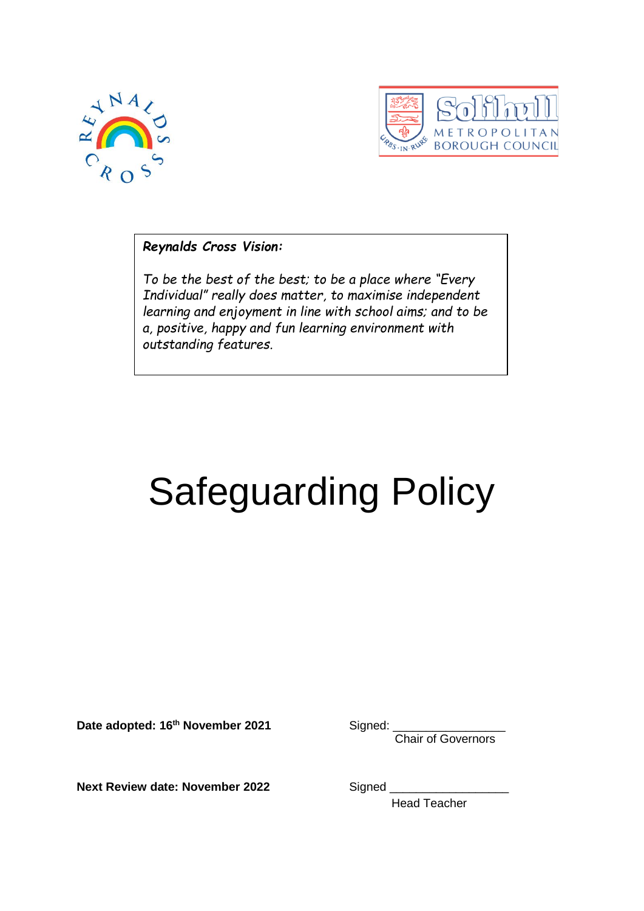



*Reynalds Cross Vision:*

*To be the best of the best; to be a place where "Every Individual" really does matter, to maximise independent learning and enjoyment in line with school aims; and to be a, positive, happy and fun learning environment with outstanding features.*

# Safeguarding Policy

Date adopted: 16<sup>th</sup> November 2021 Signed:

Chair of Governors

**Next Review date: November 2022** Signed

Head Teacher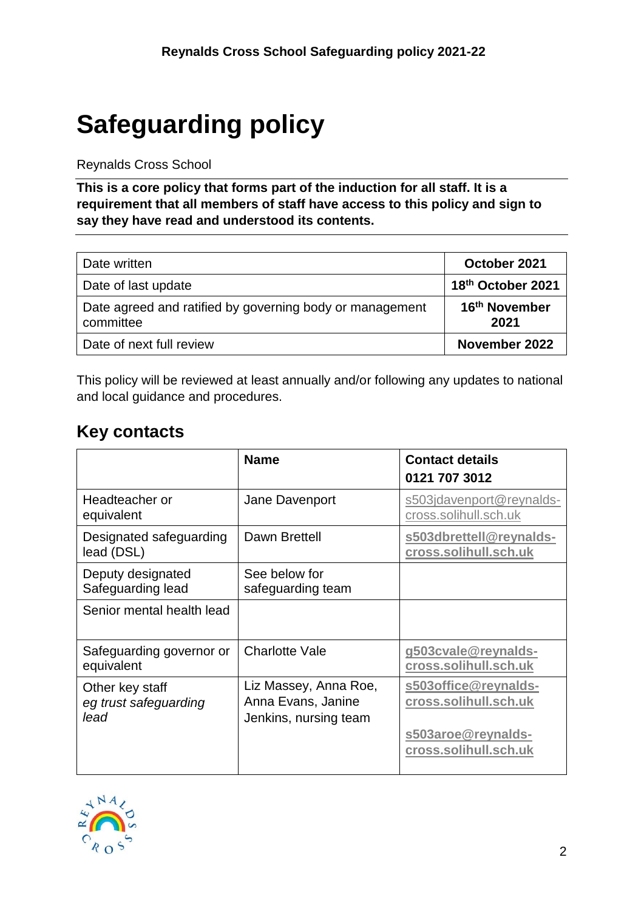# <span id="page-1-0"></span>**Safeguarding policy**

#### Reynalds Cross School

**This is a core policy that forms part of the induction for all staff. It is a requirement that all members of staff have access to this policy and sign to say they have read and understood its contents.**

| Date written                                                          | October 2021                      |
|-----------------------------------------------------------------------|-----------------------------------|
| Date of last update                                                   | 18th October 2021                 |
| Date agreed and ratified by governing body or management<br>committee | 16 <sup>th</sup> November<br>2021 |
| Date of next full review                                              | November 2022                     |

This policy will be reviewed at least annually and/or following any updates to national and local guidance and procedures.

# <span id="page-1-1"></span>**Key contacts**

|                                                  | <b>Name</b>                                                          | <b>Contact details</b><br>0121 707 3012                                                      |
|--------------------------------------------------|----------------------------------------------------------------------|----------------------------------------------------------------------------------------------|
| Headteacher or<br>equivalent                     | Jane Davenport                                                       | s503jdavenport@reynalds-<br>cross.solihull.sch.uk                                            |
| Designated safeguarding<br>lead (DSL)            | Dawn Brettell                                                        | s503dbrettell@reynalds-<br>cross.solihull.sch.uk                                             |
| Deputy designated<br>Safeguarding lead           | See below for<br>safeguarding team                                   |                                                                                              |
| Senior mental health lead                        |                                                                      |                                                                                              |
| Safeguarding governor or<br>equivalent           | <b>Charlotte Vale</b>                                                | g503cvale@reynalds-<br>cross.solihull.sch.uk                                                 |
| Other key staff<br>eg trust safeguarding<br>lead | Liz Massey, Anna Roe,<br>Anna Evans, Janine<br>Jenkins, nursing team | s503office@reynalds-<br>cross.solihull.sch.uk<br>s503aroe@reynalds-<br>cross.solihull.sch.uk |

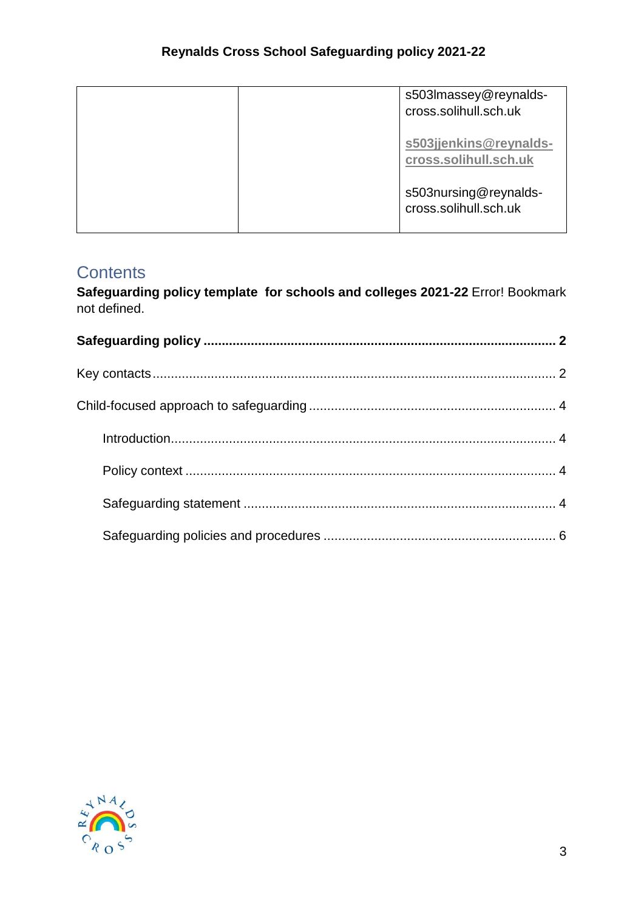| s503Imassey@reynalds-<br>cross.solihull.sch.uk  |  |
|-------------------------------------------------|--|
| s503jjenkins@reynalds-<br>cross.solihull.sch.uk |  |
| s503nursing@reynalds-<br>cross.solihull.sch.uk  |  |

# **Contents**

**Safeguarding policy template for schools and colleges 2021-22** Error! Bookmark not defined.

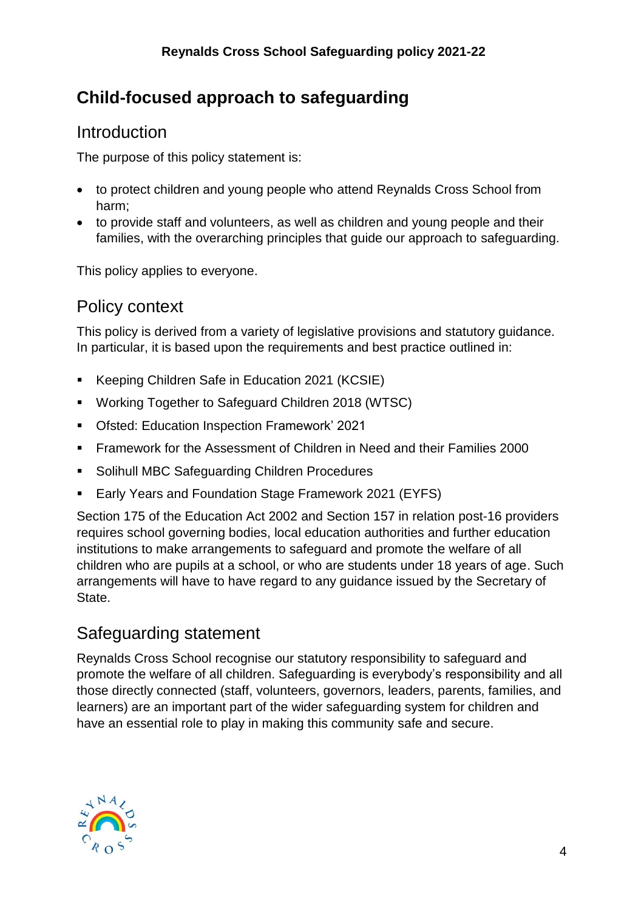# <span id="page-3-0"></span>**Child-focused approach to safeguarding**

#### <span id="page-3-1"></span>Introduction

The purpose of this policy statement is:

- to protect children and young people who attend Reynalds Cross School from harm;
- to provide staff and volunteers, as well as children and young people and their families, with the overarching principles that guide our approach to safeguarding.

This policy applies to everyone.

### <span id="page-3-2"></span>Policy context

This policy is derived from a variety of legislative provisions and statutory guidance. In particular, it is based upon the requirements and best practice outlined in:

- Keeping Children Safe in Education 2021 (KCSIE)
- Working Together to Safeguard Children 2018 (WTSC)
- Ofsted: Education Inspection Framework' 2021
- Framework for the Assessment of Children in Need and their Families 2000
- **Solihull MBC Safeguarding Children Procedures**
- Early Years and Foundation Stage Framework 2021 (EYFS)

Section 175 of the Education Act 2002 and Section 157 in relation post-16 providers requires school governing bodies, local education authorities and further education institutions to make arrangements to safeguard and promote the welfare of all children who are pupils at a school, or who are students under 18 years of age. Such arrangements will have to have regard to any guidance issued by the Secretary of State.

# <span id="page-3-3"></span>Safeguarding statement

Reynalds Cross School recognise our statutory responsibility to safeguard and promote the welfare of all children. Safeguarding is everybody's responsibility and all those directly connected (staff, volunteers, governors, leaders, parents, families, and learners) are an important part of the wider safeguarding system for children and have an essential role to play in making this community safe and secure.

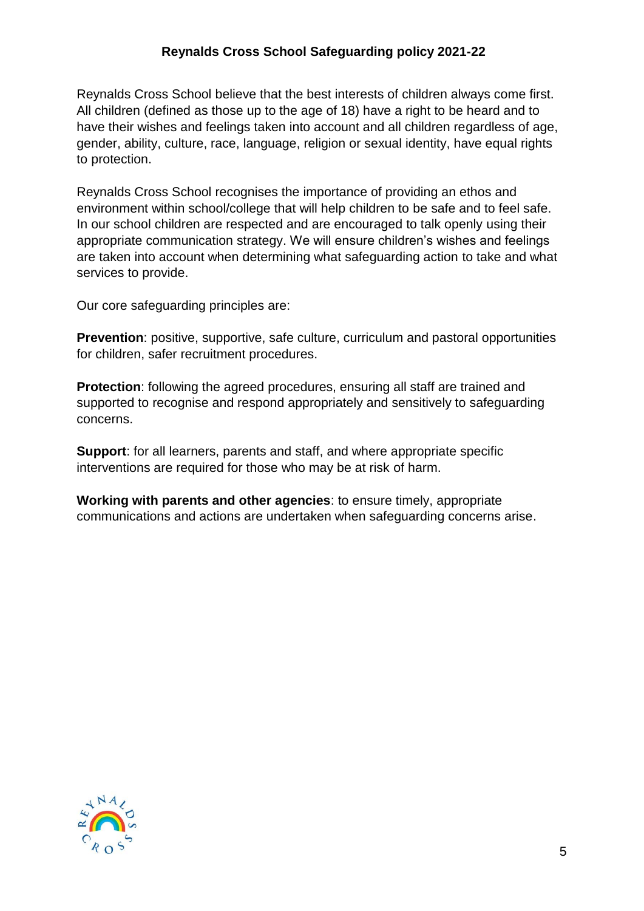#### **Reynalds Cross School Safeguarding policy 2021-22**

Reynalds Cross School believe that the best interests of children always come first. All children (defined as those up to the age of 18) have a right to be heard and to have their wishes and feelings taken into account and all children regardless of age, gender, ability, culture, race, language, religion or sexual identity, have equal rights to protection.

Reynalds Cross School recognises the importance of providing an ethos and environment within school/college that will help children to be safe and to feel safe. In our school children are respected and are encouraged to talk openly using their appropriate communication strategy. We will ensure children's wishes and feelings are taken into account when determining what safeguarding action to take and what services to provide.

Our core safeguarding principles are:

**Prevention**: positive, supportive, safe culture, curriculum and pastoral opportunities for children, safer recruitment procedures.

**Protection**: following the agreed procedures, ensuring all staff are trained and supported to recognise and respond appropriately and sensitively to safeguarding concerns.

**Support**: for all learners, parents and staff, and where appropriate specific interventions are required for those who may be at risk of harm.

**Working with parents and other agencies**: to ensure timely, appropriate communications and actions are undertaken when safeguarding concerns arise.

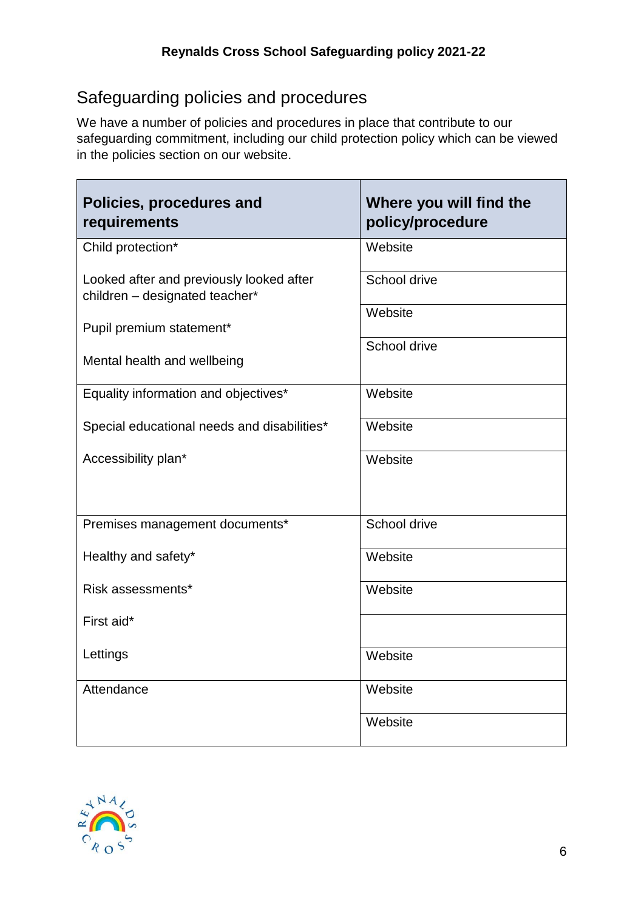# <span id="page-5-0"></span>Safeguarding policies and procedures

We have a number of policies and procedures in place that contribute to our safeguarding commitment, including our child protection policy which can be viewed in the policies section on our website.

| Policies, procedures and<br>requirements                                   | Where you will find the<br>policy/procedure |
|----------------------------------------------------------------------------|---------------------------------------------|
| Child protection*                                                          | Website                                     |
| Looked after and previously looked after<br>children - designated teacher* | School drive                                |
| Pupil premium statement*                                                   | Website                                     |
| Mental health and wellbeing                                                | School drive                                |
| Equality information and objectives*                                       | Website                                     |
| Special educational needs and disabilities*                                | Website                                     |
| Accessibility plan*                                                        | Website                                     |
| Premises management documents*                                             | School drive                                |
| Healthy and safety*                                                        | Website                                     |
| Risk assessments*                                                          | Website                                     |
| First aid*                                                                 |                                             |
| Lettings                                                                   | Website                                     |
| Attendance                                                                 | Website                                     |
|                                                                            | Website                                     |



 $\blacksquare$ 

 $\overline{\phantom{a}}$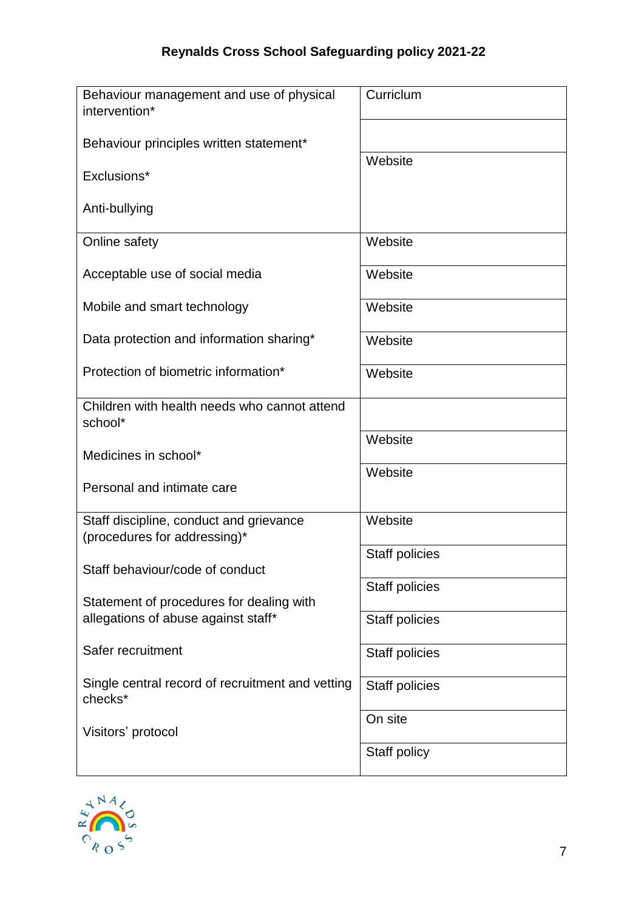| Behaviour management and use of physical<br>intervention*               | Curriclum      |
|-------------------------------------------------------------------------|----------------|
| Behaviour principles written statement*                                 |                |
| Exclusions*                                                             | Website        |
| Anti-bullying                                                           |                |
| Online safety                                                           | Website        |
| Acceptable use of social media                                          | Website        |
| Mobile and smart technology                                             | Website        |
| Data protection and information sharing*                                | Website        |
| Protection of biometric information*                                    | Website        |
| Children with health needs who cannot attend<br>school*                 |                |
| Medicines in school*                                                    | Website        |
| Personal and intimate care                                              | Website        |
| Staff discipline, conduct and grievance<br>(procedures for addressing)* | Website        |
| Staff behaviour/code of conduct                                         | Staff policies |
| Statement of procedures for dealing with                                | Staff policies |
| allegations of abuse against staff*                                     | Staff policies |
| Safer recruitment                                                       | Staff policies |
| Single central record of recruitment and vetting<br>checks*             | Staff policies |
| Visitors' protocol                                                      | On site        |
|                                                                         | Staff policy   |